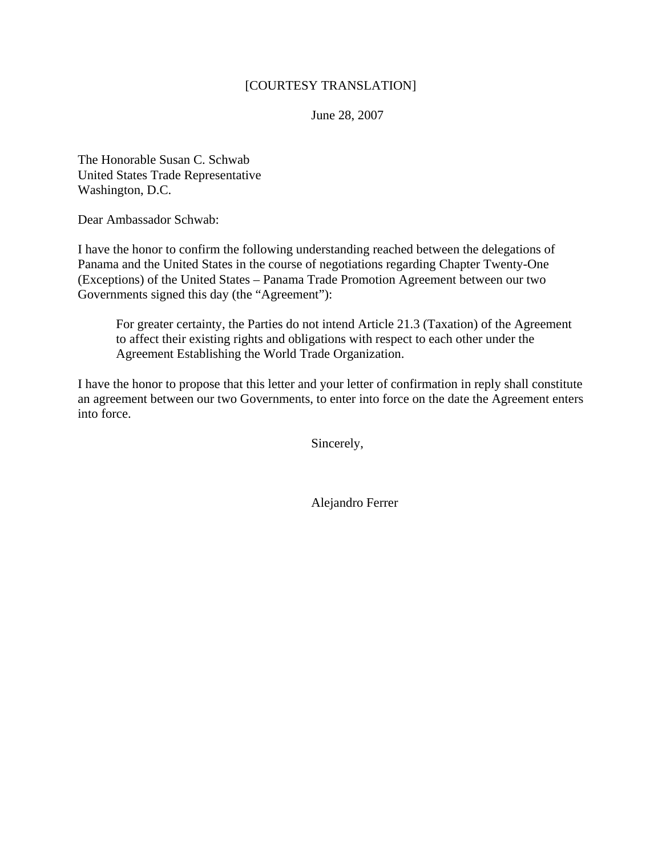## [COURTESY TRANSLATION]

June 28, 2007

The Honorable Susan C. Schwab United States Trade Representative Washington, D.C.

Dear Ambassador Schwab:

I have the honor to confirm the following understanding reached between the delegations of Panama and the United States in the course of negotiations regarding Chapter Twenty-One (Exceptions) of the United States – Panama Trade Promotion Agreement between our two Governments signed this day (the "Agreement"):

For greater certainty, the Parties do not intend Article 21.3 (Taxation) of the Agreement to affect their existing rights and obligations with respect to each other under the Agreement Establishing the World Trade Organization.

I have the honor to propose that this letter and your letter of confirmation in reply shall constitute an agreement between our two Governments, to enter into force on the date the Agreement enters into force.

Sincerely,

Alejandro Ferrer